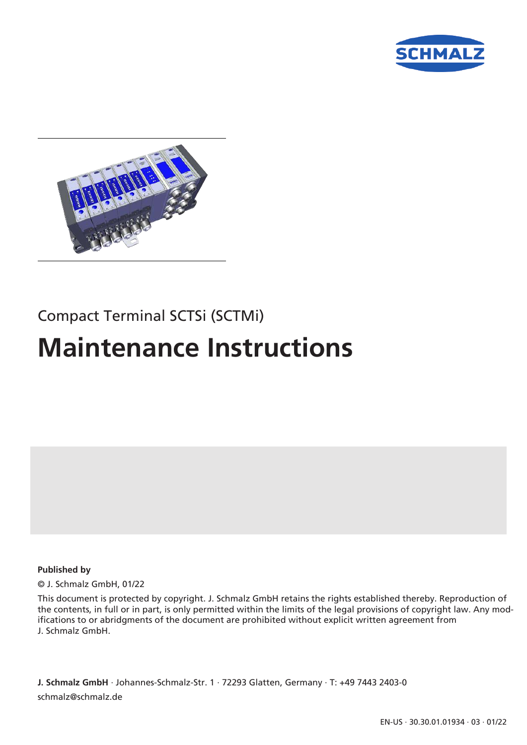



# Compact Terminal SCTSi (SCTMi)

# **Maintenance Instructions**

#### **Published by**

© J. Schmalz GmbH, 01/22

This document is protected by copyright. J. Schmalz GmbH retains the rights established thereby. Reproduction of the contents, in full or in part, is only permitted within the limits of the legal provisions of copyright law. Any modifications to or abridgments of the document are prohibited without explicit written agreement from J. Schmalz GmbH.

**J. Schmalz GmbH** · Johannes-Schmalz-Str. 1 · 72293 Glatten, Germany · T: +49 7443 2403-0 schmalz@schmalz.de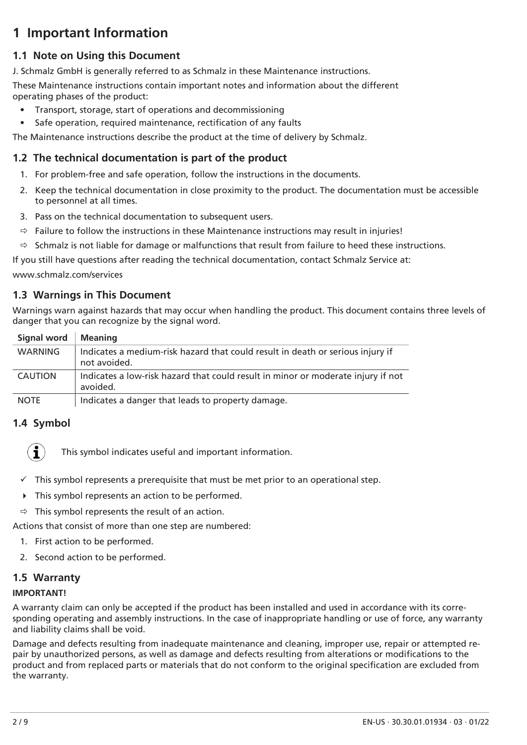# **1 Important Information**

## **1.1 Note on Using this Document**

J. Schmalz GmbH is generally referred to as Schmalz in these Maintenance instructions.

These Maintenance instructions contain important notes and information about the different operating phases of the product:

- Transport, storage, start of operations and decommissioning
- Safe operation, required maintenance, rectification of any faults

The Maintenance instructions describe the product at the time of delivery by Schmalz.

## **1.2 The technical documentation is part of the product**

- 1. For problem-free and safe operation, follow the instructions in the documents.
- 2. Keep the technical documentation in close proximity to the product. The documentation must be accessible to personnel at all times.
- 3. Pass on the technical documentation to subsequent users.
- $\Rightarrow$  Failure to follow the instructions in these Maintenance instructions may result in injuries!
- $\Rightarrow$  Schmalz is not liable for damage or malfunctions that result from failure to heed these instructions.

If you still have questions after reading the technical documentation, contact Schmalz Service at:

www.schmalz.com/services

## **1.3 Warnings in This Document**

Warnings warn against hazards that may occur when handling the product. This document contains three levels of danger that you can recognize by the signal word.

| <b>Signal word</b> | <b>Meaning</b>                                                                                 |
|--------------------|------------------------------------------------------------------------------------------------|
| WARNING            | Indicates a medium-risk hazard that could result in death or serious injury if<br>not avoided. |
| <b>CAUTION</b>     | Indicates a low-risk hazard that could result in minor or moderate injury if not<br>avoided.   |
| <b>NOTE</b>        | Indicates a danger that leads to property damage.                                              |

## **1.4 Symbol**

Î

This symbol indicates useful and important information.

- $\checkmark$  This symbol represents a prerequisite that must be met prior to an operational step.
- $\triangleright$  This symbol represents an action to be performed.
- $\Rightarrow$  This symbol represents the result of an action.

Actions that consist of more than one step are numbered:

- 1. First action to be performed.
- 2. Second action to be performed.

## **1.5 Warranty**

#### **IMPORTANT!**

A warranty claim can only be accepted if the product has been installed and used in accordance with its corresponding operating and assembly instructions. In the case of inappropriate handling or use of force, any warranty and liability claims shall be void.

Damage and defects resulting from inadequate maintenance and cleaning, improper use, repair or attempted repair by unauthorized persons, as well as damage and defects resulting from alterations or modifications to the product and from replaced parts or materials that do not conform to the original specification are excluded from the warranty.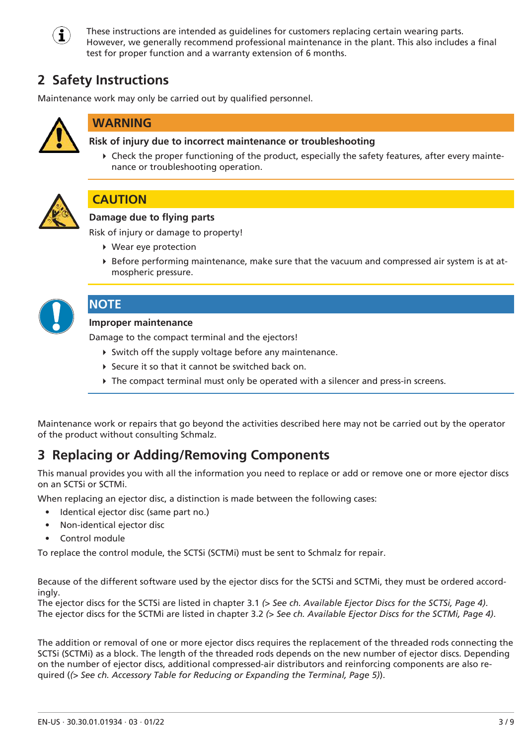

These instructions are intended as guidelines for customers replacing certain wearing parts. However, we generally recommend professional maintenance in the plant. This also includes a final test for proper function and a warranty extension of 6 months.

# **2 Safety Instructions**

Maintenance work may only be carried out by qualified personnel.



## **WARNING**

#### **Risk of injury due to incorrect maintenance or troubleshooting**

4 Check the proper functioning of the product, especially the safety features, after every maintenance or troubleshooting operation.



## **CAUTION**

#### **Damage due to flying parts**

Risk of injury or damage to property!

- 4 Wear eye protection
- 4 Before performing maintenance, make sure that the vacuum and compressed air system is at atmospheric pressure.



#### **NOTE**

#### **Improper maintenance**

Damage to the compact terminal and the ejectors!

- $\triangleright$  Switch off the supply voltage before any maintenance.
- ▶ Secure it so that it cannot be switched back on.
- $\triangleright$  The compact terminal must only be operated with a silencer and press-in screens.

Maintenance work or repairs that go beyond the activities described here may not be carried out by the operator of the product without consulting Schmalz.

## **3 Replacing or Adding/Removing Components**

This manual provides you with all the information you need to replace or add or remove one or more ejector discs on an SCTSi or SCTMi.

When replacing an ejector disc, a distinction is made between the following cases:

- Identical ejector disc (same part no.)
- Non-identical ejector disc
- Control module

To replace the control module, the SCTSi (SCTMi) must be sent to Schmalz for repair.

Because of the different software used by the ejector discs for the SCTSi and SCTMi, they must be ordered accordingly.

The ejector discs for the SCTSi are listed in chapter 3.1 *[\(> See ch. Available Ejector Discs for the SCTSi, Page 4\)](#page-3-0)*. The ejector discs for the SCTMi are listed in chapter 3.2 *[\(> See ch. Available Ejector Discs for the SCTMi, Page 4\)](#page-3-1)*.

The addition or removal of one or more ejector discs requires the replacement of the threaded rods connecting the SCTSi (SCTMi) as a block. The length of the threaded rods depends on the new number of ejector discs. Depending on the number of ejector discs, additional compressed-air distributors and reinforcing components are also required (*[\(> See ch. Accessory Table for Reducing or Expanding the Terminal, Page 5\)](#page-4-0)*).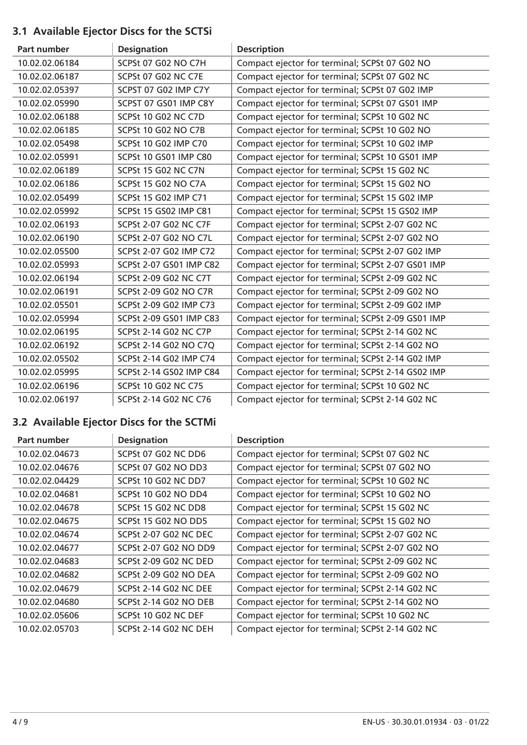## <span id="page-3-0"></span>**3.1 Available Ejector Discs for the SCTSi**

| Part number    | <b>Designation</b>           | <b>Description</b>                                |
|----------------|------------------------------|---------------------------------------------------|
| 10.02.02.06184 | SCPSt 07 G02 NO C7H          | Compact ejector for terminal; SCPSt 07 G02 NO     |
| 10.02.02.06187 | SCPSt 07 G02 NC C7E          | Compact ejector for terminal; SCPSt 07 G02 NC     |
| 10.02.02.05397 | SCPST 07 G02 IMP C7Y         | Compact ejector for terminal; SCPSt 07 G02 IMP    |
| 10.02.02.05990 | SCPST 07 GS01 IMP C8Y        | Compact ejector for terminal; SCPSt 07 GS01 IMP   |
| 10.02.02.06188 | SCPSt 10 G02 NC C7D          | Compact ejector for terminal; SCPSt 10 G02 NC     |
| 10.02.02.06185 | SCPSt 10 G02 NO C7B          | Compact ejector for terminal; SCPSt 10 G02 NO     |
| 10.02.02.05498 | <b>SCPSt 10 G02 IMP C70</b>  | Compact ejector for terminal; SCPSt 10 G02 IMP    |
| 10.02.02.05991 | SCPSt 10 GS01 IMP C80        | Compact ejector for terminal; SCPSt 10 GS01 IMP   |
| 10.02.02.06189 | SCPSt 15 G02 NC C7N          | Compact ejector for terminal; SCPSt 15 G02 NC     |
| 10.02.02.06186 | SCPSt 15 G02 NO C7A          | Compact ejector for terminal; SCPSt 15 G02 NO     |
| 10.02.02.05499 | SCPSt 15 G02 IMP C71         | Compact ejector for terminal; SCPSt 15 G02 IMP    |
| 10.02.02.05992 | SCPSt 15 GS02 IMP C81        | Compact ejector for terminal; SCPSt 15 GS02 IMP   |
| 10.02.02.06193 | <b>SCPSt 2-07 G02 NC C7F</b> | Compact ejector for terminal; SCPSt 2-07 G02 NC   |
| 10.02.02.06190 | SCPSt 2-07 G02 NO C7L        | Compact ejector for terminal; SCPSt 2-07 G02 NO   |
| 10.02.02.05500 | SCPSt 2-07 G02 IMP C72       | Compact ejector for terminal; SCPSt 2-07 G02 IMP  |
| 10.02.02.05993 | SCPSt 2-07 GS01 IMP C82      | Compact ejector for terminal; SCPSt 2-07 GS01 IMP |
| 10.02.02.06194 | SCPSt 2-09 G02 NC C7T        | Compact ejector for terminal; SCPSt 2-09 G02 NC   |
| 10.02.02.06191 | <b>SCPSt 2-09 G02 NO C7R</b> | Compact ejector for terminal; SCPSt 2-09 G02 NO   |
| 10.02.02.05501 | SCPSt 2-09 G02 IMP C73       | Compact ejector for terminal; SCPSt 2-09 G02 IMP  |
| 10.02.02.05994 | SCPSt 2-09 GS01 IMP C83      | Compact ejector for terminal; SCPSt 2-09 GS01 IMP |
| 10.02.02.06195 | <b>SCPSt 2-14 G02 NC C7P</b> | Compact ejector for terminal; SCPSt 2-14 G02 NC   |
| 10.02.02.06192 | SCPSt 2-14 G02 NO C7Q        | Compact ejector for terminal; SCPSt 2-14 G02 NO   |
| 10.02.02.05502 | SCPSt 2-14 G02 IMP C74       | Compact ejector for terminal; SCPSt 2-14 G02 IMP  |
| 10.02.02.05995 | SCPSt 2-14 GS02 IMP C84      | Compact ejector for terminal; SCPSt 2-14 GS02 IMP |
| 10.02.02.06196 | <b>SCPSt 10 G02 NC C75</b>   | Compact ejector for terminal; SCPSt 10 G02 NC     |
| 10.02.02.06197 | SCPSt 2-14 G02 NC C76        | Compact ejector for terminal; SCPSt 2-14 G02 NC   |

## <span id="page-3-1"></span>**3.2 Available Ejector Discs for the SCTMi**

| Part number    | <b>Designation</b>           | <b>Description</b>                              |
|----------------|------------------------------|-------------------------------------------------|
| 10.02.02.04673 | SCPSt 07 G02 NC DD6          | Compact ejector for terminal; SCPSt 07 G02 NC   |
| 10.02.02.04676 | SCPSt 07 G02 NO DD3          | Compact ejector for terminal; SCPSt 07 G02 NO   |
| 10.02.02.04429 | SCPSt 10 G02 NC DD7          | Compact ejector for terminal; SCPSt 10 G02 NC   |
| 10.02.02.04681 | SCPSt 10 G02 NO DD4          | Compact ejector for terminal; SCPSt 10 G02 NO   |
| 10.02.02.04678 | SCPSt 15 G02 NC DD8          | Compact ejector for terminal; SCPSt 15 G02 NC   |
| 10.02.02.04675 | SCPSt 15 G02 NO DD5          | Compact ejector for terminal; SCPSt 15 G02 NO   |
| 10.02.02.04674 | <b>SCPSt 2-07 G02 NC DEC</b> | Compact ejector for terminal; SCPSt 2-07 G02 NC |
| 10.02.02.04677 | <b>SCPSt 2-07 G02 NO DD9</b> | Compact ejector for terminal; SCPSt 2-07 G02 NO |
| 10.02.02.04683 | SCPSt 2-09 G02 NC DED        | Compact ejector for terminal; SCPSt 2-09 G02 NC |
| 10.02.02.04682 | SCPSt 2-09 G02 NO DEA        | Compact ejector for terminal; SCPSt 2-09 G02 NO |
| 10.02.02.04679 | <b>SCPSt 2-14 G02 NC DEE</b> | Compact ejector for terminal; SCPSt 2-14 G02 NC |
| 10.02.02.04680 | <b>SCPSt 2-14 G02 NO DEB</b> | Compact ejector for terminal; SCPSt 2-14 G02 NO |
| 10.02.02.05606 | SCPSt 10 G02 NC DEF          | Compact ejector for terminal; SCPSt 10 G02 NC   |
| 10.02.02.05703 | SCPSt 2-14 G02 NC DEH        | Compact ejector for terminal; SCPSt 2-14 G02 NC |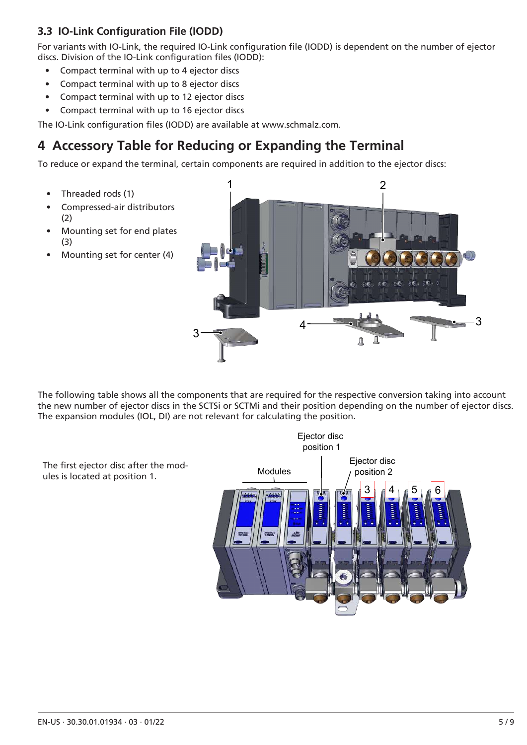#### **3.3 IO-Link Configuration File (IODD)**

For variants with IO-Link, the required IO-Link configuration file (IODD) is dependent on the number of ejector discs. Division of the IO-Link configuration files (IODD):

- Compact terminal with up to 4 ejector discs
- Compact terminal with up to 8 ejector discs
- Compact terminal with up to 12 ejector discs
- Compact terminal with up to 16 ejector discs

• Threaded rods (1)

(2)

(3)

The IO-Link configuration files (IODD) are available at www.schmalz.com.

## <span id="page-4-0"></span>**4 Accessory Table for Reducing or Expanding the Terminal**

To reduce or expand the terminal, certain components are required in addition to the ejector discs:

1 2 • Compressed-air distributors • Mounting set for end plates Mounting set for center (4) 3  $\mathbf{4}$ 3 Д Д

The following table shows all the components that are required for the respective conversion taking into account the new number of ejector discs in the SCTSi or SCTMi and their position depending on the number of ejector discs. The expansion modules (IOL, DI) are not relevant for calculating the position.

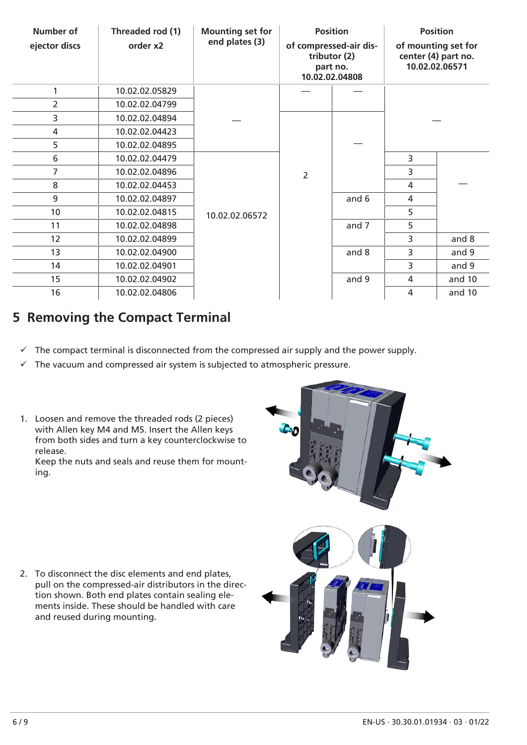| <b>Number of</b><br>ejector discs | Threaded rod (1)<br>order x2 | <b>Mounting set for</b><br>end plates (3) | <b>Position</b><br>of compressed-air dis-<br>tributor (2)<br>part no.<br>10.02.02.04808 |       | <b>Position</b><br>of mounting set for<br>center (4) part no.<br>10.02.02.06571 |        |
|-----------------------------------|------------------------------|-------------------------------------------|-----------------------------------------------------------------------------------------|-------|---------------------------------------------------------------------------------|--------|
| 1                                 | 10.02.02.05829               |                                           |                                                                                         |       |                                                                                 |        |
| $\overline{2}$                    | 10.02.02.04799               |                                           |                                                                                         |       |                                                                                 |        |
| 3                                 | 10.02.02.04894               |                                           | $\overline{2}$                                                                          |       |                                                                                 |        |
| 4                                 | 10.02.02.04423               |                                           |                                                                                         |       |                                                                                 |        |
| 5                                 | 10.02.02.04895               |                                           |                                                                                         |       |                                                                                 |        |
| 6                                 | 10.02.02.04479               |                                           |                                                                                         |       | 3                                                                               |        |
| 7                                 | 10.02.02.04896               |                                           |                                                                                         |       | 3                                                                               |        |
| 8                                 | 10.02.02.04453               |                                           |                                                                                         |       | 4                                                                               |        |
| 9                                 | 10.02.02.04897               |                                           |                                                                                         | and 6 | 4                                                                               |        |
| 10                                | 10.02.02.04815               | 10.02.02.06572                            |                                                                                         |       | 5                                                                               |        |
| 11                                | 10.02.02.04898               |                                           |                                                                                         | and 7 | 5                                                                               |        |
| 12                                | 10.02.02.04899               |                                           |                                                                                         |       | 3                                                                               | and 8  |
| 13                                | 10.02.02.04900               |                                           |                                                                                         | and 8 | 3                                                                               | and 9  |
| 14                                | 10.02.02.04901               |                                           |                                                                                         |       | 3                                                                               | and 9  |
| 15                                | 10.02.02.04902               |                                           |                                                                                         | and 9 | 4                                                                               | and 10 |
| 16                                | 10.02.02.04806               |                                           |                                                                                         |       | 4                                                                               | and 10 |

## **5 Removing the Compact Terminal**

- $\checkmark$  The compact terminal is disconnected from the compressed air supply and the power supply.
- $\checkmark$  The vacuum and compressed air system is subjected to atmospheric pressure.
- 1. Loosen and remove the threaded rods (2 pieces) with Allen key M4 and M5. Insert the Allen keys from both sides and turn a key counterclockwise to release.

Keep the nuts and seals and reuse them for mounting.

2. To disconnect the disc elements and end plates, pull on the compressed-air distributors in the direction shown. Both end plates contain sealing elements inside. These should be handled with care and reused during mounting.

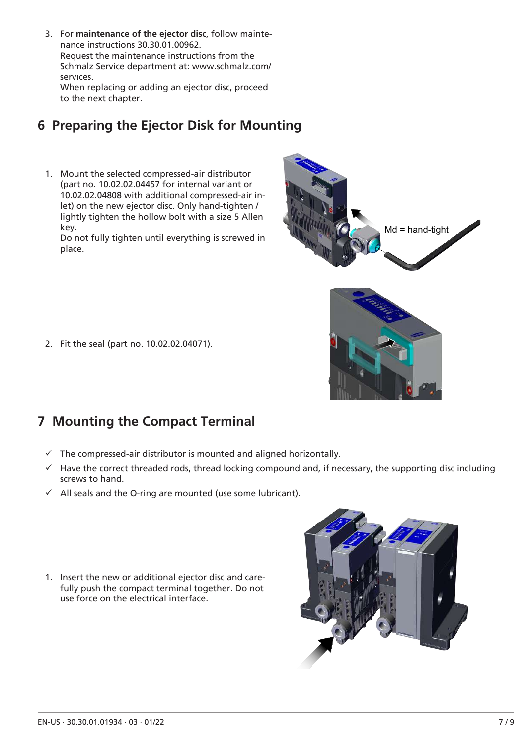3. For **maintenance of the ejector disc**, follow maintenance instructions 30.30.01.00962. Request the maintenance instructions from the Schmalz Service department at: www.schmalz.com/ services. When replacing or adding an ejector disc, proceed to the next chapter.

# **6 Preparing the Ejector Disk for Mounting**

1. Mount the selected compressed-air distributor (part no. 10.02.02.04457 for internal variant or 10.02.02.04808 with additional compressed-air inlet) on the new ejector disc. Only hand-tighten / lightly tighten the hollow bolt with a size 5 Allen key.

Do not fully tighten until everything is screwed in place.



2. Fit the seal (part no. 10.02.02.04071).

## **7 Mounting the Compact Terminal**

- $\checkmark$  The compressed-air distributor is mounted and aligned horizontally.
- $\checkmark$  Have the correct threaded rods, thread locking compound and, if necessary, the supporting disc including screws to hand.
- $\checkmark$  All seals and the O-ring are mounted (use some lubricant).
- 1. Insert the new or additional ejector disc and carefully push the compact terminal together. Do not use force on the electrical interface.

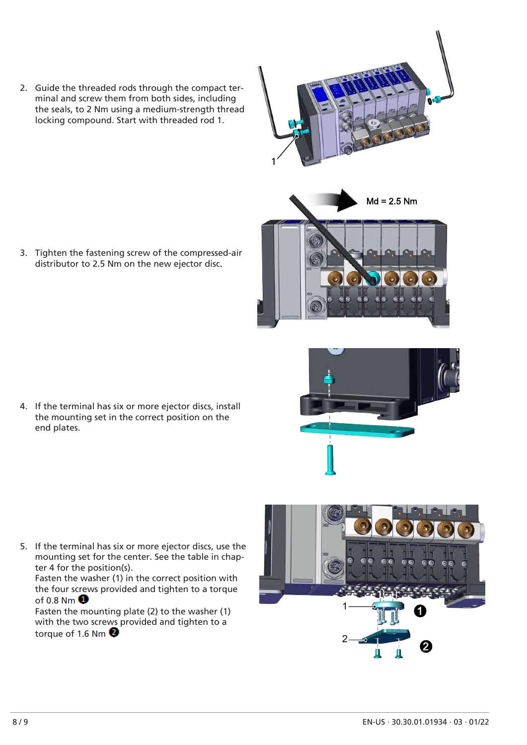2. Guide the threaded rods through the compact terminal and screw them from both sides, including the seals, to 2 Nm using a medium-strength thread locking compound. Start with threaded rod 1.

3. Tighten the fastening screw of the compressed-air distributor to 2.5 Nm on the new ejector disc.

4. If the terminal has six or more ejector discs, install the mounting set in the correct position on the end plates.

5. If the terminal has six or more ejector discs, use the mounting set for the center. See the table in chapter 4 for the position(s).

Fasten the washer (1) in the correct position with the four screws provided and tighten to a torque of 0.8 Nm $\bullet$ 

Fasten the mounting plate (2) to the washer (1) with the two screws provided and tighten to a torque of 1.6 Nm